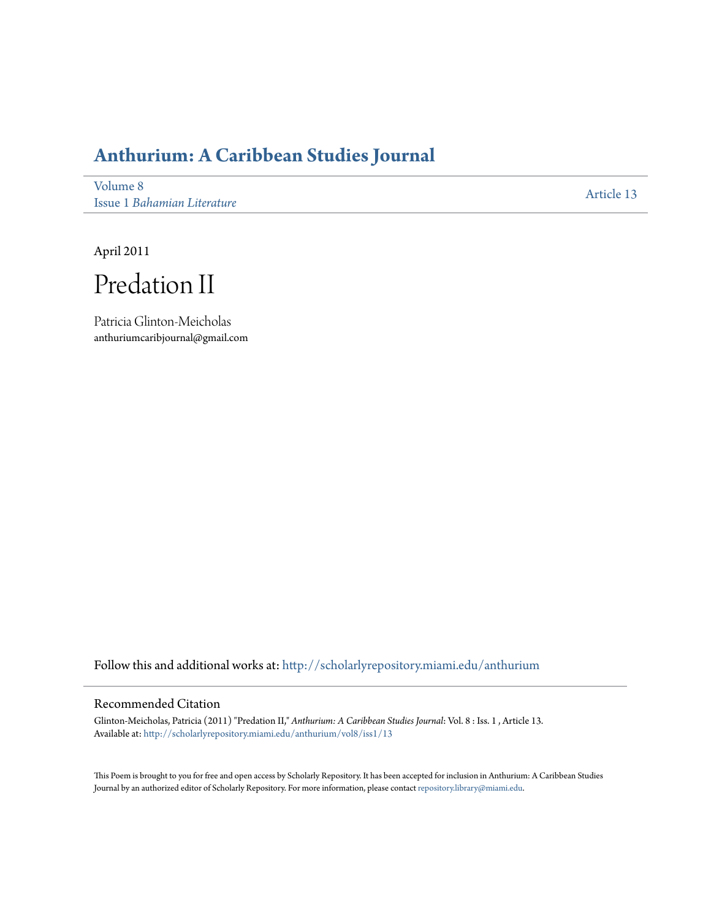## **[Anthurium: A Caribbean Studies Journal](http://scholarlyrepository.miami.edu/anthurium?utm_source=scholarlyrepository.miami.edu%2Fanthurium%2Fvol8%2Fiss1%2F13&utm_medium=PDF&utm_campaign=PDFCoverPages)**

[Volume 8](http://scholarlyrepository.miami.edu/anthurium/vol8?utm_source=scholarlyrepository.miami.edu%2Fanthurium%2Fvol8%2Fiss1%2F13&utm_medium=PDF&utm_campaign=PDFCoverPages) Issue 1 *[Bahamian Literature](http://scholarlyrepository.miami.edu/anthurium/vol8/iss1?utm_source=scholarlyrepository.miami.edu%2Fanthurium%2Fvol8%2Fiss1%2F13&utm_medium=PDF&utm_campaign=PDFCoverPages)*

[Article 13](http://scholarlyrepository.miami.edu/anthurium/vol8/iss1/13?utm_source=scholarlyrepository.miami.edu%2Fanthurium%2Fvol8%2Fiss1%2F13&utm_medium=PDF&utm_campaign=PDFCoverPages)

April 2011

Predation II

Patricia Glinton-Meicholas anthuriumcaribjournal@gmail.com

Follow this and additional works at: [http://scholarlyrepository.miami.edu/anthurium](http://scholarlyrepository.miami.edu/anthurium?utm_source=scholarlyrepository.miami.edu%2Fanthurium%2Fvol8%2Fiss1%2F13&utm_medium=PDF&utm_campaign=PDFCoverPages)

## Recommended Citation

Glinton-Meicholas, Patricia (2011) "Predation II," *Anthurium: A Caribbean Studies Journal*: Vol. 8 : Iss. 1 , Article 13. Available at: [http://scholarlyrepository.miami.edu/anthurium/vol8/iss1/13](http://scholarlyrepository.miami.edu/anthurium/vol8/iss1/13?utm_source=scholarlyrepository.miami.edu%2Fanthurium%2Fvol8%2Fiss1%2F13&utm_medium=PDF&utm_campaign=PDFCoverPages)

This Poem is brought to you for free and open access by Scholarly Repository. It has been accepted for inclusion in Anthurium: A Caribbean Studies Journal by an authorized editor of Scholarly Repository. For more information, please contact [repository.library@miami.edu](mailto:repository.library@miami.edu).